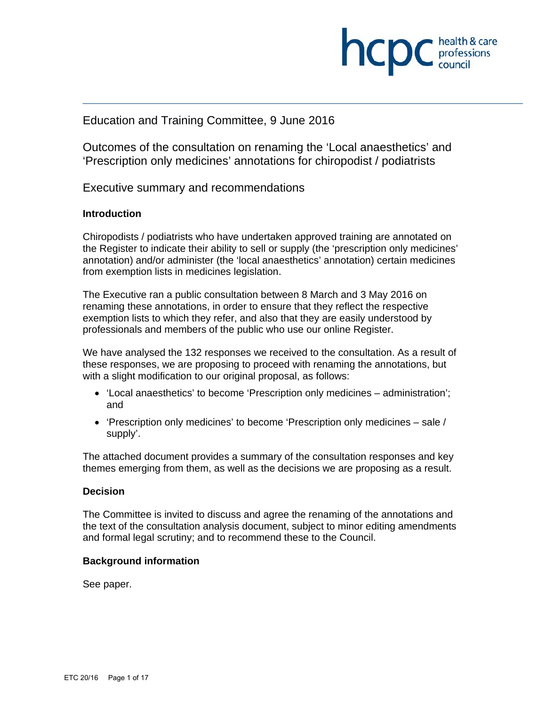

# Education and Training Committee, 9 June 2016

Outcomes of the consultation on renaming the 'Local anaesthetics' and 'Prescription only medicines' annotations for chiropodist / podiatrists

Executive summary and recommendations

### **Introduction**

Chiropodists / podiatrists who have undertaken approved training are annotated on the Register to indicate their ability to sell or supply (the 'prescription only medicines' annotation) and/or administer (the 'local anaesthetics' annotation) certain medicines from exemption lists in medicines legislation.

The Executive ran a public consultation between 8 March and 3 May 2016 on renaming these annotations, in order to ensure that they reflect the respective exemption lists to which they refer, and also that they are easily understood by professionals and members of the public who use our online Register.

We have analysed the 132 responses we received to the consultation. As a result of these responses, we are proposing to proceed with renaming the annotations, but with a slight modification to our original proposal, as follows:

- 'Local anaesthetics' to become 'Prescription only medicines administration'; and
- 'Prescription only medicines' to become 'Prescription only medicines sale / supply'.

The attached document provides a summary of the consultation responses and key themes emerging from them, as well as the decisions we are proposing as a result.

#### **Decision**

The Committee is invited to discuss and agree the renaming of the annotations and the text of the consultation analysis document, subject to minor editing amendments and formal legal scrutiny; and to recommend these to the Council.

#### **Background information**

See paper.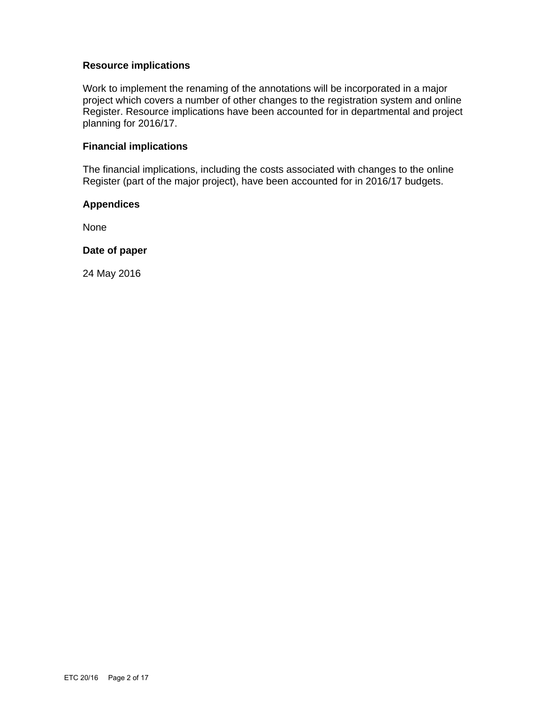### **Resource implications**

Work to implement the renaming of the annotations will be incorporated in a major project which covers a number of other changes to the registration system and online Register. Resource implications have been accounted for in departmental and project planning for 2016/17.

### **Financial implications**

The financial implications, including the costs associated with changes to the online Register (part of the major project), have been accounted for in 2016/17 budgets.

#### **Appendices**

None

#### **Date of paper**

24 May 2016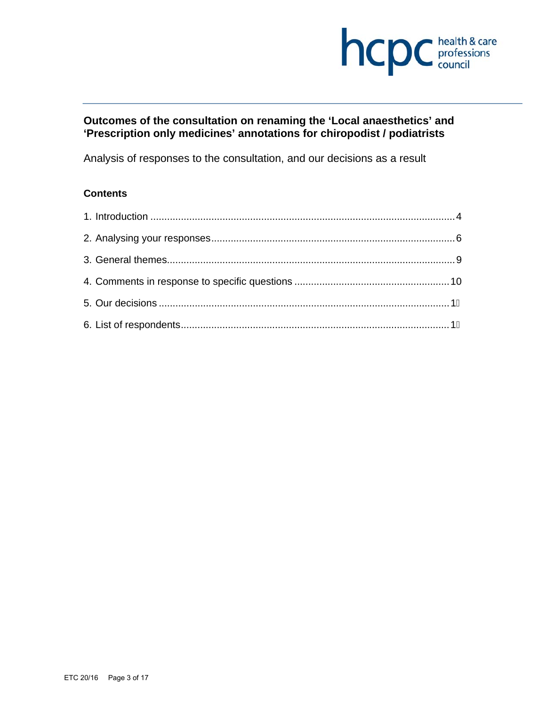

# **Outcomes of the consultation on renaming the 'Local anaesthetics' and 'Prescription only medicines' annotations for chiropodist / podiatrists**

Analysis of responses to the consultation, and our decisions as a result

# **Contents**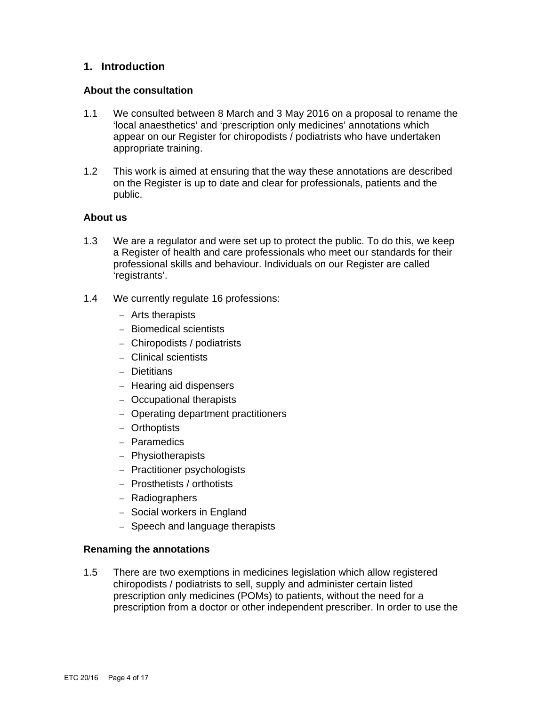# **1. Introduction**

#### **About the consultation**

- 1.1 We consulted between 8 March and 3 May 2016 on a proposal to rename the 'local anaesthetics' and 'prescription only medicines' annotations which appear on our Register for chiropodists / podiatrists who have undertaken appropriate training.
- 1.2 This work is aimed at ensuring that the way these annotations are described on the Register is up to date and clear for professionals, patients and the public.

### **About us**

- 1.3 We are a regulator and were set up to protect the public. To do this, we keep a Register of health and care professionals who meet our standards for their professional skills and behaviour. Individuals on our Register are called 'registrants'.
- 1.4 We currently regulate 16 professions:
	- Arts therapists
	- Biomedical scientists
	- Chiropodists / podiatrists
	- Clinical scientists
	- Dietitians
	- $-$  Hearing aid dispensers
	- Occupational therapists
	- Operating department practitioners
	- Orthoptists
	- Paramedics
	- Physiotherapists
	- Practitioner psychologists
	- Prosthetists / orthotists
	- Radiographers
	- Social workers in England
	- Speech and language therapists

#### **Renaming the annotations**

1.5 There are two exemptions in medicines legislation which allow registered chiropodists / podiatrists to sell, supply and administer certain listed prescription only medicines (POMs) to patients, without the need for a prescription from a doctor or other independent prescriber. In order to use the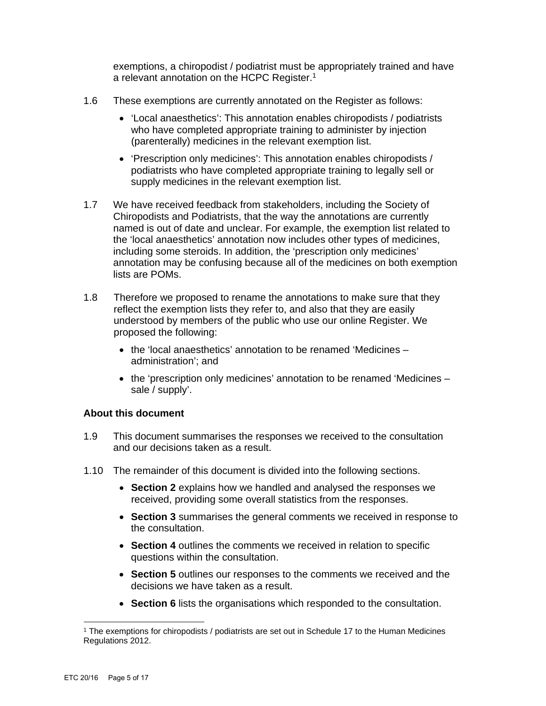exemptions, a chiropodist / podiatrist must be appropriately trained and have a relevant annotation on the HCPC Register.1

- 1.6 These exemptions are currently annotated on the Register as follows:
	- 'Local anaesthetics': This annotation enables chiropodists / podiatrists who have completed appropriate training to administer by injection (parenterally) medicines in the relevant exemption list.
	- 'Prescription only medicines': This annotation enables chiropodists / podiatrists who have completed appropriate training to legally sell or supply medicines in the relevant exemption list.
- 1.7 We have received feedback from stakeholders, including the Society of Chiropodists and Podiatrists, that the way the annotations are currently named is out of date and unclear. For example, the exemption list related to the 'local anaesthetics' annotation now includes other types of medicines, including some steroids. In addition, the 'prescription only medicines' annotation may be confusing because all of the medicines on both exemption lists are POMs.
- 1.8 Therefore we proposed to rename the annotations to make sure that they reflect the exemption lists they refer to, and also that they are easily understood by members of the public who use our online Register. We proposed the following:
	- the 'local anaesthetics' annotation to be renamed 'Medicines administration'; and
	- $\bullet$  the 'prescription only medicines' annotation to be renamed 'Medicines sale / supply'.

# **About this document**

- 1.9 This document summarises the responses we received to the consultation and our decisions taken as a result.
- 1.10 The remainder of this document is divided into the following sections.
	- **Section 2** explains how we handled and analysed the responses we received, providing some overall statistics from the responses.
	- **Section 3** summarises the general comments we received in response to the consultation.
	- **Section 4** outlines the comments we received in relation to specific questions within the consultation.
	- **Section 5** outlines our responses to the comments we received and the decisions we have taken as a result.
	- **Section 6** lists the organisations which responded to the consultation.

 1 The exemptions for chiropodists / podiatrists are set out in Schedule 17 to the Human Medicines Regulations 2012.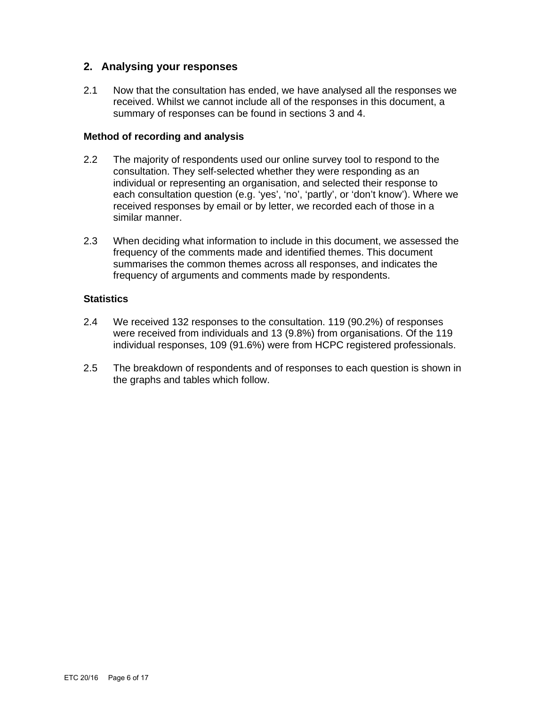# **2. Analysing your responses**

2.1 Now that the consultation has ended, we have analysed all the responses we received. Whilst we cannot include all of the responses in this document, a summary of responses can be found in sections 3 and 4.

#### **Method of recording and analysis**

- 2.2 The majority of respondents used our online survey tool to respond to the consultation. They self-selected whether they were responding as an individual or representing an organisation, and selected their response to each consultation question (e.g. 'yes', 'no', 'partly', or 'don't know'). Where we received responses by email or by letter, we recorded each of those in a similar manner.
- 2.3 When deciding what information to include in this document, we assessed the frequency of the comments made and identified themes. This document summarises the common themes across all responses, and indicates the frequency of arguments and comments made by respondents.

# **Statistics**

- 2.4 We received 132 responses to the consultation. 119 (90.2%) of responses were received from individuals and 13 (9.8%) from organisations. Of the 119 individual responses, 109 (91.6%) were from HCPC registered professionals.
- 2.5 The breakdown of respondents and of responses to each question is shown in the graphs and tables which follow.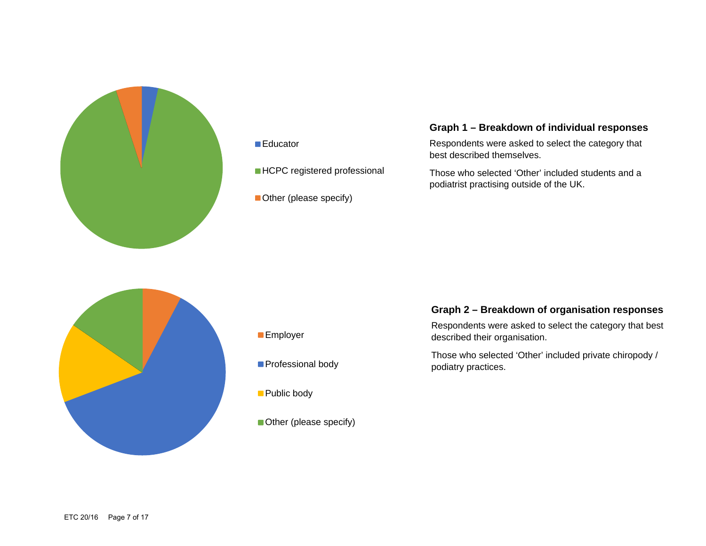

#### ■Educator

- **HCPC** registered professional
- Other (please specify)

# **Graph 1 – Breakdown of individual responses**

Respondents were asked to select the category that best described themselves.

Those who selected 'Other' included students and a podiatrist practising outside of the UK.



- **Employer**
- **Professional body**
- **Public body**
- Other (please specify)

## **Graph 2 – Breakdown of organisation responses**

Respondents were asked to select the category that best described their organisation.

Those who selected 'Other' included private chiropody / podiatry practices.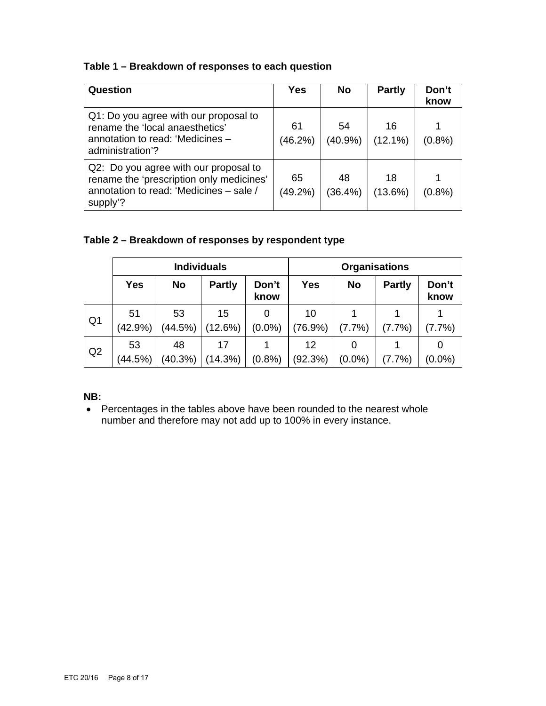# **Table 1 – Breakdown of responses to each question**

| Question                                                                                                                                 | <b>Yes</b>       | <b>No</b>        | <b>Partly</b> | Don't<br>know |
|------------------------------------------------------------------------------------------------------------------------------------------|------------------|------------------|---------------|---------------|
| Q1: Do you agree with our proposal to<br>rename the 'local anaesthetics'<br>annotation to read: 'Medicines -<br>administration'?         | 61<br>$(46.2\%)$ | 54<br>(40.9%     | 16<br>(12.1%) | (0.8% )       |
| Q2: Do you agree with our proposal to<br>rename the 'prescription only medicines'<br>annotation to read: 'Medicines - sale /<br>supply'? | 65<br>$(49.2\%)$ | 48<br>$(36.4\%)$ | 18<br>(13.6%) | $(0.8\%)$     |

# **Table 2 – Breakdown of responses by respondent type**

|                | <b>Individuals</b> |           |               | <b>Organisations</b> |            |           |               |               |
|----------------|--------------------|-----------|---------------|----------------------|------------|-----------|---------------|---------------|
|                | <b>Yes</b>         | <b>No</b> | <b>Partly</b> | Don't<br>know        | <b>Yes</b> | <b>No</b> | <b>Partly</b> | Don't<br>know |
| Q <sub>1</sub> | 51                 | 53        | 15            | 0                    | 10         |           |               |               |
|                | $(42.9\%)$         | (44.5%)   | (12.6%)       | $(0.0\%)$            | $(76.9\%)$ | (7.7%)    | (7.7%)        | (7.7%)        |
| Q <sub>2</sub> | 53                 | 48        | 17            |                      | 12         |           |               | 0             |
|                | (44.5%)            | (40.3%)   | (14.3%)       | $(0.8\%)$            | (92.3%)    | $(0.0\%)$ | $(7.7\%)$     | $(0.0\%)$     |

# **NB:**

• Percentages in the tables above have been rounded to the nearest whole number and therefore may not add up to 100% in every instance.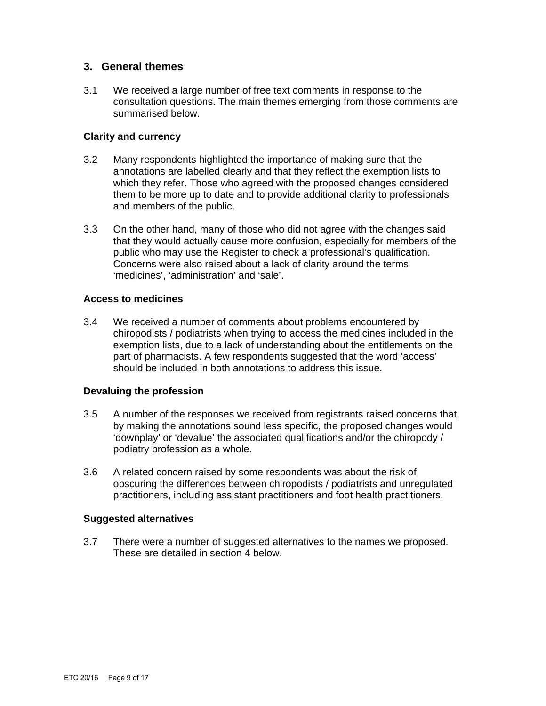# **3. General themes**

3.1 We received a large number of free text comments in response to the consultation questions. The main themes emerging from those comments are summarised below.

### **Clarity and currency**

- 3.2 Many respondents highlighted the importance of making sure that the annotations are labelled clearly and that they reflect the exemption lists to which they refer. Those who agreed with the proposed changes considered them to be more up to date and to provide additional clarity to professionals and members of the public.
- 3.3 On the other hand, many of those who did not agree with the changes said that they would actually cause more confusion, especially for members of the public who may use the Register to check a professional's qualification. Concerns were also raised about a lack of clarity around the terms 'medicines', 'administration' and 'sale'.

### **Access to medicines**

3.4 We received a number of comments about problems encountered by chiropodists / podiatrists when trying to access the medicines included in the exemption lists, due to a lack of understanding about the entitlements on the part of pharmacists. A few respondents suggested that the word 'access' should be included in both annotations to address this issue.

# **Devaluing the profession**

- 3.5 A number of the responses we received from registrants raised concerns that, by making the annotations sound less specific, the proposed changes would 'downplay' or 'devalue' the associated qualifications and/or the chiropody / podiatry profession as a whole.
- 3.6 A related concern raised by some respondents was about the risk of obscuring the differences between chiropodists / podiatrists and unregulated practitioners, including assistant practitioners and foot health practitioners.

#### **Suggested alternatives**

3.7 There were a number of suggested alternatives to the names we proposed. These are detailed in section 4 below.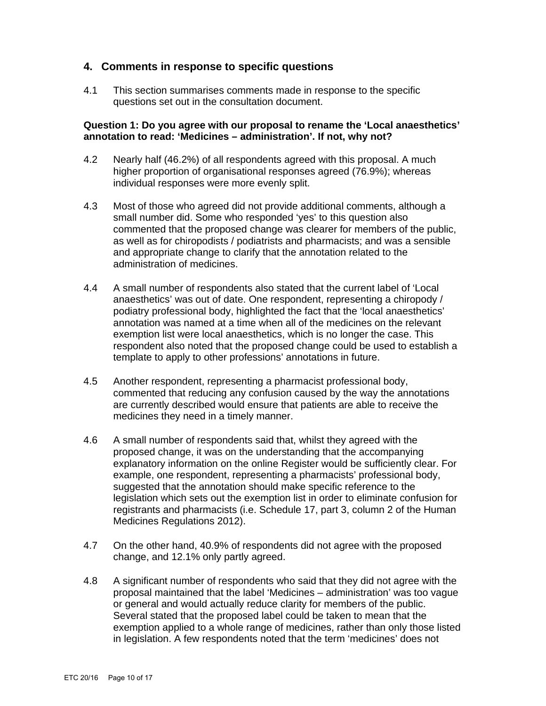# **4. Comments in response to specific questions**

4.1 This section summarises comments made in response to the specific questions set out in the consultation document.

### **Question 1: Do you agree with our proposal to rename the 'Local anaesthetics' annotation to read: 'Medicines – administration'. If not, why not?**

- 4.2 Nearly half (46.2%) of all respondents agreed with this proposal. A much higher proportion of organisational responses agreed (76.9%); whereas individual responses were more evenly split.
- 4.3 Most of those who agreed did not provide additional comments, although a small number did. Some who responded 'yes' to this question also commented that the proposed change was clearer for members of the public, as well as for chiropodists / podiatrists and pharmacists; and was a sensible and appropriate change to clarify that the annotation related to the administration of medicines.
- 4.4 A small number of respondents also stated that the current label of 'Local anaesthetics' was out of date. One respondent, representing a chiropody / podiatry professional body, highlighted the fact that the 'local anaesthetics' annotation was named at a time when all of the medicines on the relevant exemption list were local anaesthetics, which is no longer the case. This respondent also noted that the proposed change could be used to establish a template to apply to other professions' annotations in future.
- 4.5 Another respondent, representing a pharmacist professional body, commented that reducing any confusion caused by the way the annotations are currently described would ensure that patients are able to receive the medicines they need in a timely manner.
- 4.6 A small number of respondents said that, whilst they agreed with the proposed change, it was on the understanding that the accompanying explanatory information on the online Register would be sufficiently clear. For example, one respondent, representing a pharmacists' professional body, suggested that the annotation should make specific reference to the legislation which sets out the exemption list in order to eliminate confusion for registrants and pharmacists (i.e. Schedule 17, part 3, column 2 of the Human Medicines Regulations 2012).
- 4.7 On the other hand, 40.9% of respondents did not agree with the proposed change, and 12.1% only partly agreed.
- 4.8 A significant number of respondents who said that they did not agree with the proposal maintained that the label 'Medicines – administration' was too vague or general and would actually reduce clarity for members of the public. Several stated that the proposed label could be taken to mean that the exemption applied to a whole range of medicines, rather than only those listed in legislation. A few respondents noted that the term 'medicines' does not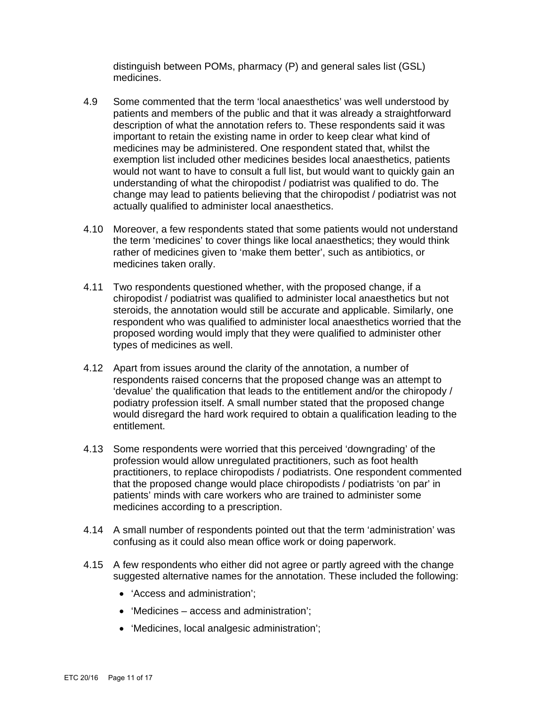distinguish between POMs, pharmacy (P) and general sales list (GSL) medicines.

- 4.9 Some commented that the term 'local anaesthetics' was well understood by patients and members of the public and that it was already a straightforward description of what the annotation refers to. These respondents said it was important to retain the existing name in order to keep clear what kind of medicines may be administered. One respondent stated that, whilst the exemption list included other medicines besides local anaesthetics, patients would not want to have to consult a full list, but would want to quickly gain an understanding of what the chiropodist / podiatrist was qualified to do. The change may lead to patients believing that the chiropodist / podiatrist was not actually qualified to administer local anaesthetics.
- 4.10 Moreover, a few respondents stated that some patients would not understand the term 'medicines' to cover things like local anaesthetics; they would think rather of medicines given to 'make them better', such as antibiotics, or medicines taken orally.
- 4.11 Two respondents questioned whether, with the proposed change, if a chiropodist / podiatrist was qualified to administer local anaesthetics but not steroids, the annotation would still be accurate and applicable. Similarly, one respondent who was qualified to administer local anaesthetics worried that the proposed wording would imply that they were qualified to administer other types of medicines as well.
- 4.12 Apart from issues around the clarity of the annotation, a number of respondents raised concerns that the proposed change was an attempt to 'devalue' the qualification that leads to the entitlement and/or the chiropody / podiatry profession itself. A small number stated that the proposed change would disregard the hard work required to obtain a qualification leading to the entitlement.
- 4.13 Some respondents were worried that this perceived 'downgrading' of the profession would allow unregulated practitioners, such as foot health practitioners, to replace chiropodists / podiatrists. One respondent commented that the proposed change would place chiropodists / podiatrists 'on par' in patients' minds with care workers who are trained to administer some medicines according to a prescription.
- 4.14 A small number of respondents pointed out that the term 'administration' was confusing as it could also mean office work or doing paperwork.
- 4.15 A few respondents who either did not agree or partly agreed with the change suggested alternative names for the annotation. These included the following:
	- 'Access and administration';
	- 'Medicines access and administration';
	- 'Medicines, local analgesic administration';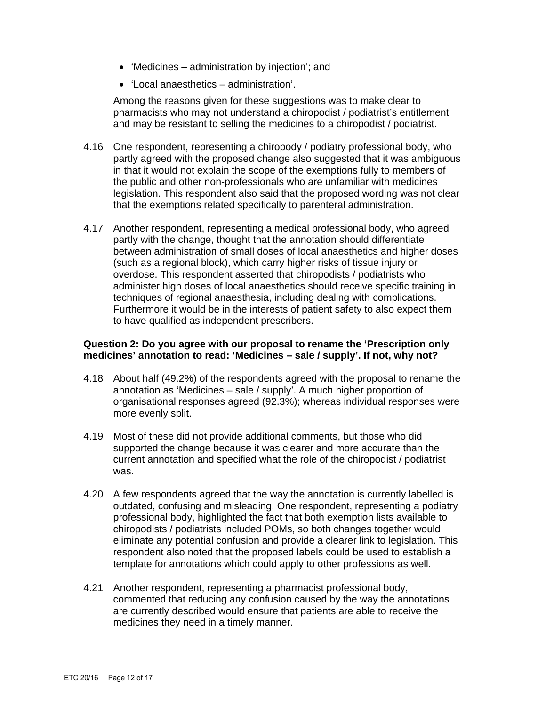- 'Medicines administration by injection'; and
- 'Local anaesthetics administration'.

Among the reasons given for these suggestions was to make clear to pharmacists who may not understand a chiropodist / podiatrist's entitlement and may be resistant to selling the medicines to a chiropodist / podiatrist.

- 4.16 One respondent, representing a chiropody / podiatry professional body, who partly agreed with the proposed change also suggested that it was ambiguous in that it would not explain the scope of the exemptions fully to members of the public and other non-professionals who are unfamiliar with medicines legislation. This respondent also said that the proposed wording was not clear that the exemptions related specifically to parenteral administration.
- 4.17 Another respondent, representing a medical professional body, who agreed partly with the change, thought that the annotation should differentiate between administration of small doses of local anaesthetics and higher doses (such as a regional block), which carry higher risks of tissue injury or overdose. This respondent asserted that chiropodists / podiatrists who administer high doses of local anaesthetics should receive specific training in techniques of regional anaesthesia, including dealing with complications. Furthermore it would be in the interests of patient safety to also expect them to have qualified as independent prescribers.

### **Question 2: Do you agree with our proposal to rename the 'Prescription only medicines' annotation to read: 'Medicines – sale / supply'. If not, why not?**

- 4.18 About half (49.2%) of the respondents agreed with the proposal to rename the annotation as 'Medicines – sale / supply'. A much higher proportion of organisational responses agreed (92.3%); whereas individual responses were more evenly split.
- 4.19 Most of these did not provide additional comments, but those who did supported the change because it was clearer and more accurate than the current annotation and specified what the role of the chiropodist / podiatrist was.
- 4.20 A few respondents agreed that the way the annotation is currently labelled is outdated, confusing and misleading. One respondent, representing a podiatry professional body, highlighted the fact that both exemption lists available to chiropodists / podiatrists included POMs, so both changes together would eliminate any potential confusion and provide a clearer link to legislation. This respondent also noted that the proposed labels could be used to establish a template for annotations which could apply to other professions as well.
- 4.21 Another respondent, representing a pharmacist professional body, commented that reducing any confusion caused by the way the annotations are currently described would ensure that patients are able to receive the medicines they need in a timely manner.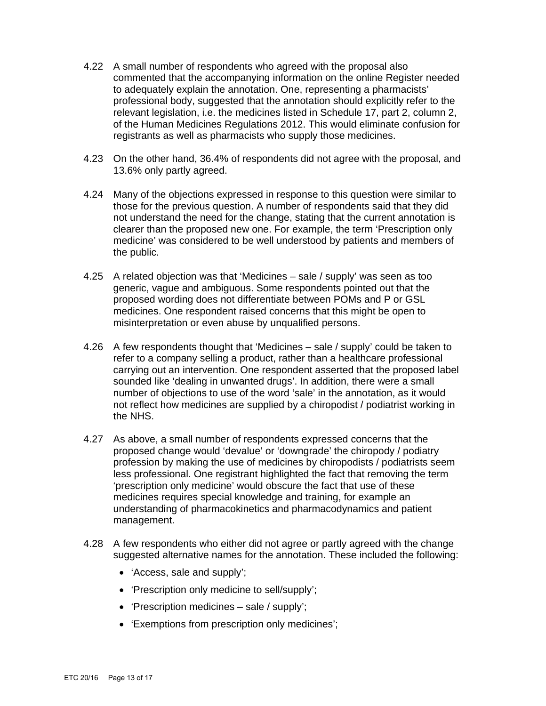- 4.22 A small number of respondents who agreed with the proposal also commented that the accompanying information on the online Register needed to adequately explain the annotation. One, representing a pharmacists' professional body, suggested that the annotation should explicitly refer to the relevant legislation, i.e. the medicines listed in Schedule 17, part 2, column 2, of the Human Medicines Regulations 2012. This would eliminate confusion for registrants as well as pharmacists who supply those medicines.
- 4.23 On the other hand, 36.4% of respondents did not agree with the proposal, and 13.6% only partly agreed.
- 4.24 Many of the objections expressed in response to this question were similar to those for the previous question. A number of respondents said that they did not understand the need for the change, stating that the current annotation is clearer than the proposed new one. For example, the term 'Prescription only medicine' was considered to be well understood by patients and members of the public.
- 4.25 A related objection was that 'Medicines sale / supply' was seen as too generic, vague and ambiguous. Some respondents pointed out that the proposed wording does not differentiate between POMs and P or GSL medicines. One respondent raised concerns that this might be open to misinterpretation or even abuse by unqualified persons.
- 4.26 A few respondents thought that 'Medicines sale / supply' could be taken to refer to a company selling a product, rather than a healthcare professional carrying out an intervention. One respondent asserted that the proposed label sounded like 'dealing in unwanted drugs'. In addition, there were a small number of objections to use of the word 'sale' in the annotation, as it would not reflect how medicines are supplied by a chiropodist / podiatrist working in the NHS.
- 4.27 As above, a small number of respondents expressed concerns that the proposed change would 'devalue' or 'downgrade' the chiropody / podiatry profession by making the use of medicines by chiropodists / podiatrists seem less professional. One registrant highlighted the fact that removing the term 'prescription only medicine' would obscure the fact that use of these medicines requires special knowledge and training, for example an understanding of pharmacokinetics and pharmacodynamics and patient management.
- 4.28 A few respondents who either did not agree or partly agreed with the change suggested alternative names for the annotation. These included the following:
	- 'Access, sale and supply';
	- 'Prescription only medicine to sell/supply';
	- 'Prescription medicines sale / supply';
	- 'Exemptions from prescription only medicines';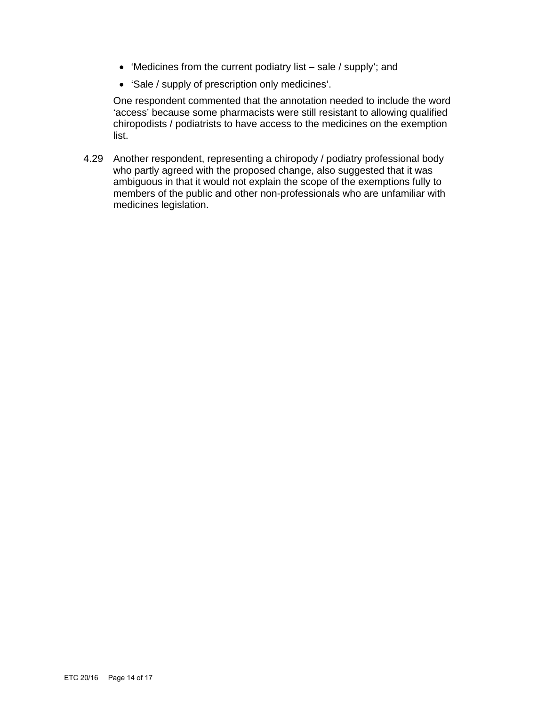- $\bullet$  'Medicines from the current podiatry list sale / supply'; and
- 'Sale / supply of prescription only medicines'.

One respondent commented that the annotation needed to include the word 'access' because some pharmacists were still resistant to allowing qualified chiropodists / podiatrists to have access to the medicines on the exemption list.

4.29 Another respondent, representing a chiropody / podiatry professional body who partly agreed with the proposed change, also suggested that it was ambiguous in that it would not explain the scope of the exemptions fully to members of the public and other non-professionals who are unfamiliar with medicines legislation.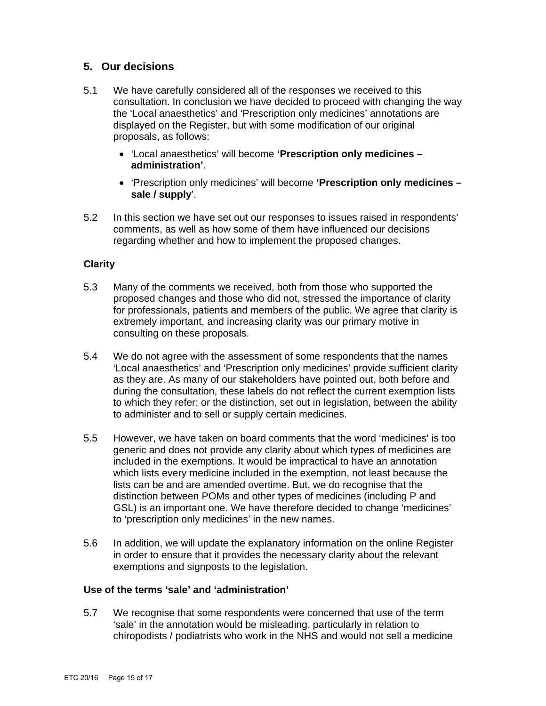# **5. Our decisions**

- 5.1 We have carefully considered all of the responses we received to this consultation. In conclusion we have decided to proceed with changing the way the 'Local anaesthetics' and 'Prescription only medicines' annotations are displayed on the Register, but with some modification of our original proposals, as follows:
	- 'Local anaesthetics' will become **'Prescription only medicines administration'**.
	- 'Prescription only medicines' will become **'Prescription only medicines sale / supply**'.
- 5.2 In this section we have set out our responses to issues raised in respondents' comments, as well as how some of them have influenced our decisions regarding whether and how to implement the proposed changes.

# **Clarity**

- 5.3 Many of the comments we received, both from those who supported the proposed changes and those who did not, stressed the importance of clarity for professionals, patients and members of the public. We agree that clarity is extremely important, and increasing clarity was our primary motive in consulting on these proposals.
- 5.4 We do not agree with the assessment of some respondents that the names 'Local anaesthetics' and 'Prescription only medicines' provide sufficient clarity as they are. As many of our stakeholders have pointed out, both before and during the consultation, these labels do not reflect the current exemption lists to which they refer; or the distinction, set out in legislation, between the ability to administer and to sell or supply certain medicines.
- 5.5 However, we have taken on board comments that the word 'medicines' is too generic and does not provide any clarity about which types of medicines are included in the exemptions. It would be impractical to have an annotation which lists every medicine included in the exemption, not least because the lists can be and are amended overtime. But, we do recognise that the distinction between POMs and other types of medicines (including P and GSL) is an important one. We have therefore decided to change 'medicines' to 'prescription only medicines' in the new names.
- 5.6 In addition, we will update the explanatory information on the online Register in order to ensure that it provides the necessary clarity about the relevant exemptions and signposts to the legislation.

#### **Use of the terms 'sale' and 'administration'**

5.7 We recognise that some respondents were concerned that use of the term 'sale' in the annotation would be misleading, particularly in relation to chiropodists / podiatrists who work in the NHS and would not sell a medicine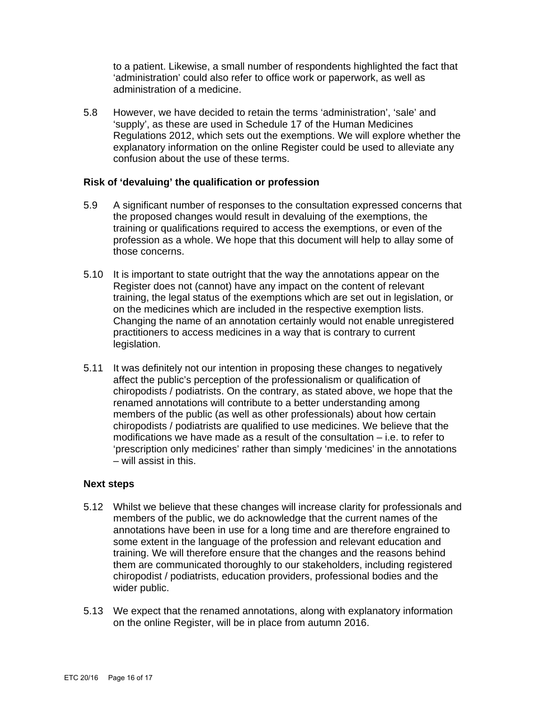to a patient. Likewise, a small number of respondents highlighted the fact that 'administration' could also refer to office work or paperwork, as well as administration of a medicine.

5.8 However, we have decided to retain the terms 'administration', 'sale' and 'supply', as these are used in Schedule 17 of the Human Medicines Regulations 2012, which sets out the exemptions. We will explore whether the explanatory information on the online Register could be used to alleviate any confusion about the use of these terms.

### **Risk of 'devaluing' the qualification or profession**

- 5.9 A significant number of responses to the consultation expressed concerns that the proposed changes would result in devaluing of the exemptions, the training or qualifications required to access the exemptions, or even of the profession as a whole. We hope that this document will help to allay some of those concerns.
- 5.10 It is important to state outright that the way the annotations appear on the Register does not (cannot) have any impact on the content of relevant training, the legal status of the exemptions which are set out in legislation, or on the medicines which are included in the respective exemption lists. Changing the name of an annotation certainly would not enable unregistered practitioners to access medicines in a way that is contrary to current legislation.
- 5.11 It was definitely not our intention in proposing these changes to negatively affect the public's perception of the professionalism or qualification of chiropodists / podiatrists. On the contrary, as stated above, we hope that the renamed annotations will contribute to a better understanding among members of the public (as well as other professionals) about how certain chiropodists / podiatrists are qualified to use medicines. We believe that the modifications we have made as a result of the consultation – i.e. to refer to 'prescription only medicines' rather than simply 'medicines' in the annotations – will assist in this.

# **Next steps**

- 5.12 Whilst we believe that these changes will increase clarity for professionals and members of the public, we do acknowledge that the current names of the annotations have been in use for a long time and are therefore engrained to some extent in the language of the profession and relevant education and training. We will therefore ensure that the changes and the reasons behind them are communicated thoroughly to our stakeholders, including registered chiropodist / podiatrists, education providers, professional bodies and the wider public.
- 5.13 We expect that the renamed annotations, along with explanatory information on the online Register, will be in place from autumn 2016.